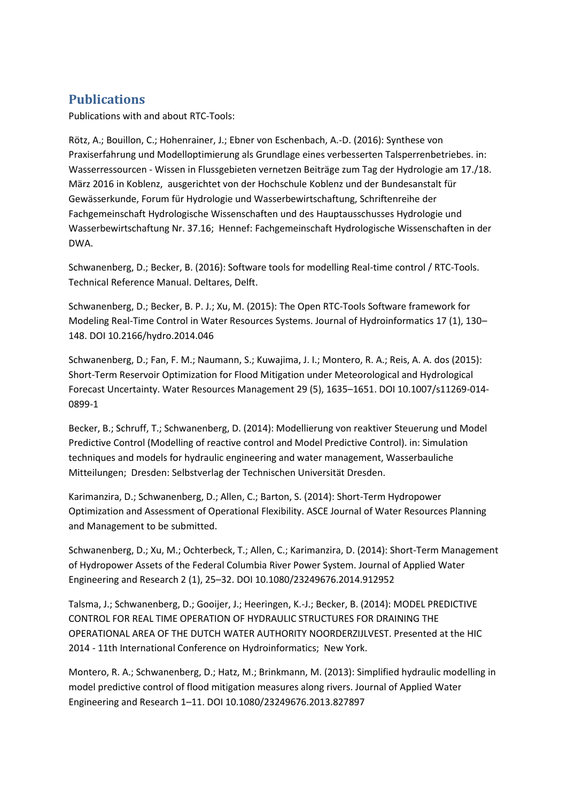## **Publications**

Publications with and about RTC-Tools:

Rötz, A.; Bouillon, C.; Hohenrainer, J.; Ebner von Eschenbach, A.-D. (2016): Synthese von Praxiserfahrung und Modelloptimierung als Grundlage eines verbesserten Talsperrenbetriebes. in: Wasserressourcen - Wissen in Flussgebieten vernetzen Beiträge zum Tag der Hydrologie am 17./18. März 2016 in Koblenz, ausgerichtet von der Hochschule Koblenz und der Bundesanstalt für Gewässerkunde, Forum für Hydrologie und Wasserbewirtschaftung, Schriftenreihe der Fachgemeinschaft Hydrologische Wissenschaften und des Hauptausschusses Hydrologie und Wasserbewirtschaftung Nr. 37.16; Hennef: Fachgemeinschaft Hydrologische Wissenschaften in der DWA.

Schwanenberg, D.; Becker, B. (2016): Software tools for modelling Real-time control / RTC-Tools. Technical Reference Manual. Deltares, Delft.

Schwanenberg, D.; Becker, B. P. J.; Xu, M. (2015): The Open RTC-Tools Software framework for Modeling Real-Time Control in Water Resources Systems. Journal of Hydroinformatics 17 (1), 130– 148. DOI 10.2166/hydro.2014.046

Schwanenberg, D.; Fan, F. M.; Naumann, S.; Kuwajima, J. I.; Montero, R. A.; Reis, A. A. dos (2015): Short-Term Reservoir Optimization for Flood Mitigation under Meteorological and Hydrological Forecast Uncertainty. Water Resources Management 29 (5), 1635–1651. DOI 10.1007/s11269-014- 0899-1

Becker, B.; Schruff, T.; Schwanenberg, D. (2014): Modellierung von reaktiver Steuerung und Model Predictive Control (Modelling of reactive control and Model Predictive Control). in: Simulation techniques and models for hydraulic engineering and water management, Wasserbauliche Mitteilungen; Dresden: Selbstverlag der Technischen Universität Dresden.

Karimanzira, D.; Schwanenberg, D.; Allen, C.; Barton, S. (2014): Short-Term Hydropower Optimization and Assessment of Operational Flexibility. ASCE Journal of Water Resources Planning and Management to be submitted.

Schwanenberg, D.; Xu, M.; Ochterbeck, T.; Allen, C.; Karimanzira, D. (2014): Short-Term Management of Hydropower Assets of the Federal Columbia River Power System. Journal of Applied Water Engineering and Research 2 (1), 25–32. DOI 10.1080/23249676.2014.912952

Talsma, J.; Schwanenberg, D.; Gooijer, J.; Heeringen, K.-J.; Becker, B. (2014): MODEL PREDICTIVE CONTROL FOR REAL TIME OPERATION OF HYDRAULIC STRUCTURES FOR DRAINING THE OPERATIONAL AREA OF THE DUTCH WATER AUTHORITY NOORDERZIJLVEST. Presented at the HIC 2014 - 11th International Conference on Hydroinformatics; New York.

Montero, R. A.; Schwanenberg, D.; Hatz, M.; Brinkmann, M. (2013): Simplified hydraulic modelling in model predictive control of flood mitigation measures along rivers. Journal of Applied Water Engineering and Research 1–11. DOI 10.1080/23249676.2013.827897